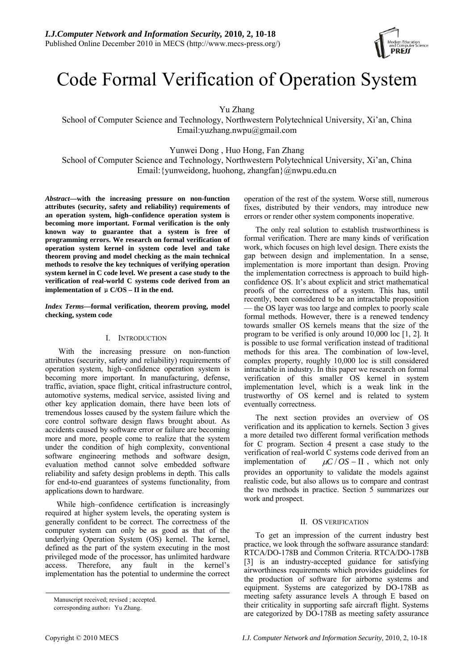

# Code Formal Verification of Operation System

Yu Zhang

School of Computer Science and Technology, Northwestern Polytechnical University, Xi'an, China Email:yuzhang.nwpu@gmail.com

Yunwei Dong , Huo Hong, Fan Zhang

School of Computer Science and Technology, Northwestern Polytechnical University, Xi'an, China Email:{yunweidong, huohong, zhangfan}@nwpu.edu.cn

*Abstract***—with the increasing pressure on non-function attributes (security, safety and reliability) requirements of an operation system, high–confidence operation system is becoming more important. Formal verification is the only known way to guarantee that a system is free of programming errors. We research on formal verification of operation system kernel in system code level and take theorem proving and model checking as the main technical methods to resolve the key techniques of verifying operation system kernel in C code level. We present a case study to the verification of real-world C systems code derived from an implementation of** μ**C/OS – II in the end.** 

## *Index Terms—***formal verification, theorem proving, model checking, system code**

## I. INTRODUCTION

 With the increasing pressure on non-function attributes (security, safety and reliability) requirements of operation system, high–confidence operation system is becoming more important. In manufacturing, defense, traffic, aviation, space flight, critical infrastructure control, automotive systems, medical service, assisted living and other key application domain, there have been lots of tremendous losses caused by the system failure which the core control software design flaws brought about. As accidents caused by software error or failure are becoming more and more, people come to realize that the system under the condition of high complexity, conventional software engineering methods and software design, evaluation method cannot solve embedded software reliability and safety design problems in depth. This calls for end-to-end guarantees of systems functionality, from applications down to hardware.

While high–confidence certification is increasingly required at higher system levels, the operating system is generally confident to be correct. The correctness of the computer system can only be as good as that of the underlying Operation System (OS) kernel. The kernel, defined as the part of the system executing in the most privileged mode of the processor, has unlimited hardware access. Therefore, any fault in the kernel's implementation has the potential to undermine the correct operation of the rest of the system. Worse still, numerous fixes, distributed by their vendors, may introduce new errors or render other system components inoperative.

The only real solution to establish trustworthiness is formal verification. There are many kinds of verification work, which focuses on high level design. There exists the gap between design and implementation. In a sense, implementation is more important than design. Proving the implementation correctness is approach to build highconfidence OS. It's about explicit and strict mathematical proofs of the correctness of a system. This has, until recently, been considered to be an intractable proposition — the OS layer was too large and complex to poorly scale formal methods. However, there is a renewed tendency towards smaller OS kernels means that the size of the program to be verified is only around 10,000 loc [1, 2]. It is possible to use formal verification instead of traditional methods for this area. The combination of low-level, complex property, roughly 10,000 loc is still considered intractable in industry. In this paper we research on formal verification of this smaller OS kernel in system implementation level, which is a weak link in the trustworthy of OS kernel and is related to system eventually correctness.

The next section provides an overview of OS verification and its application to kernels. Section 3 gives a more detailed two different formal verification methods for C program. Section 4 present a case study to the verification of real-world C systems code derived from an implementation of  $\mu$ *C* / *OS* − II , which not only provides an opportunity to validate the models against realistic code, but also allows us to compare and contrast the two methods in practice. Section 5 summarizes our work and prospect.

## II. OS VERIFICATION

To get an impression of the current industry best practice, we look through the software assurance standard: RTCA/DO-178B and Common Criteria. RTCA/DO-178B [3] is an industry-accepted guidance for satisfying airworthiness requirements which provides guidelines for the production of software for airborne systems and equipment. Systems are categorized by DO-178B as meeting safety assurance levels A through E based on their criticality in supporting safe aircraft flight. Systems are categorized by DO-178B as meeting safety assurance

Manuscript received; revised ; accepted.

corresponding author: Yu Zhang.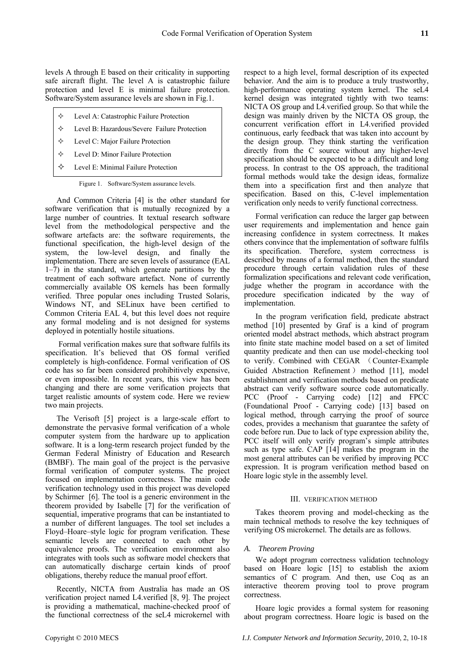levels A through E based on their criticality in supporting safe aircraft flight. The level A is catastrophic failure protection and level E is minimal failure protection. Software/System assurance levels are shown in Fig.1.

- Level A: Catastrophic Failure Protection
- Level B: Hazardous/Severe Failure Protection
- Level C: Major Failure Protection
- Level D: Minor Failure Protection
- $\Diamond$  Level E: Minimal Failure Protection

Figure 1. Software/System assurance levels.

And Common Criteria [4] is the other standard for software verification that is mutually recognized by a large number of countries. It textual research software level from the methodological perspective and the software artefacts are: the software requirements, the functional specification, the high-level design of the system, the low-level design, and finally the implementation. There are seven levels of assurance (EAL 1–7) in the standard, which generate partitions by the treatment of each software artefact. None of currently commercially available OS kernels has been formally verified. Three popular ones including Trusted Solaris, Windows NT, and SELinux have been certified to Common Criteria EAL 4, but this level does not require any formal modeling and is not designed for systems deployed in potentially hostile situations.

 Formal verification makes sure that software fulfils its specification. It's believed that OS formal verified completely is high-confidence. Formal verification of OS code has so far been considered prohibitively expensive, or even impossible. In recent years, this view has been changing and there are some verification projects that target realistic amounts of system code. Here we review two main projects.

The Verisoft [5] project is a large-scale effort to demonstrate the pervasive formal verification of a whole computer system from the hardware up to application software. It is a long-term research project funded by the German Federal Ministry of Education and Research (BMBF). The main goal of the project is the pervasive formal verification of computer systems. The project focused on implementation correctness. The main code verification technology used in this project was developed by Schirmer [6]. The tool is a generic environment in the theorem provided by Isabelle [7] for the verification of sequential, imperative programs that can be instantiated to a number of different languages. The tool set includes a Floyd–Hoare–style logic for program verification. These semantic levels are connected to each other by equivalence proofs. The verification environment also integrates with tools such as software model checkers that can automatically discharge certain kinds of proof obligations, thereby reduce the manual proof effort.

Recently, NICTA from Australia has made an OS verification project named L4.verified [8, 9]. The project is providing a mathematical, machine-checked proof of the functional correctness of the seL4 microkernel with respect to a high level, formal description of its expected behavior. And the aim is to produce a truly trustworthy, high-performance operating system kernel. The seL4 kernel design was integrated tightly with two teams: NICTA OS group and L4.verified group. So that while the design was mainly driven by the NICTA OS group, the concurrent verification effort in L4.verified provided continuous, early feedback that was taken into account by the design group. They think starting the verification directly from the C source without any higher-level specification should be expected to be a difficult and long process. In contrast to the OS approach, the traditional formal methods would take the design ideas, formalize them into a specification first and then analyze that specification. Based on this, C-level implementation verification only needs to verify functional correctness.

Formal verification can reduce the larger gap between user requirements and implementation and hence gain increasing confidence in system correctness. It makes others convince that the implementation of software fulfils its specification. Therefore, system correctness is described by means of a formal method, then the standard procedure through certain validation rules of these formalization specifications and relevant code verification, judge whether the program in accordance with the procedure specification indicated by the way of implementation.

In the program verification field, predicate abstract method [10] presented by Graf is a kind of program oriented model abstract methods, which abstract program into finite state machine model based on a set of limited quantity predicate and then can use model-checking tool to verify. Combined with CEGAR (Counter-Example Guided Abstraction Refinement ) method [11], model establishment and verification methods based on predicate abstract can verify software source code automatically. PCC (Proof - Carrying code) [12] and FPCC (Foundational Proof - Carrying code) [13] based on logical method, through carrying the proof of source codes, provides a mechanism that guarantee the safety of code before run. Due to lack of type expression ability the, PCC itself will only verify program's simple attributes such as type safe. CAP [14] makes the program in the most general attributes can be verified by improving PCC expression. It is program verification method based on Hoare logic style in the assembly level.

## III. VERIFICATION METHOD

Takes theorem proving and model-checking as the main technical methods to resolve the key techniques of verifying OS microkernel. The details are as follows.

## *A. Theorem Proving*

We adopt program correctness validation technology based on Hoare logic [15] to establish the axiom semantics of C program. And then, use Coq as an interactive theorem proving tool to prove program correctness.

Hoare logic provides a formal system for reasoning about program correctness. Hoare logic is based on the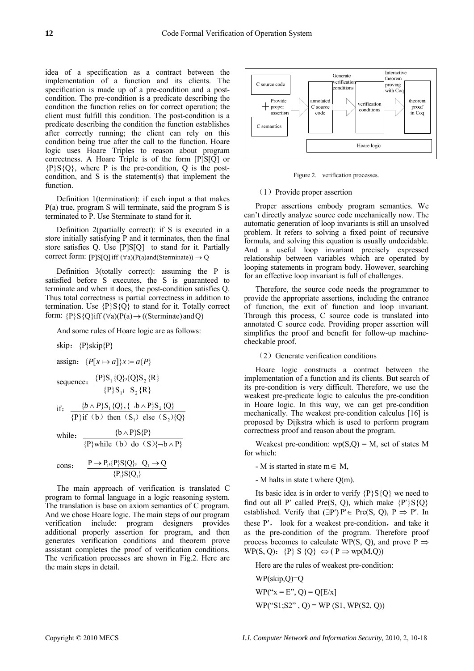idea of a specification as a contract between the implementation of a function and its clients. The specification is made up of a pre-condition and a postcondition. The pre-condition is a predicate describing the condition the function relies on for correct operation; the client must fulfill this condition. The post-condition is a predicate describing the condition the function establishes after correctly running; the client can rely on this condition being true after the call to the function. Hoare logic uses Hoare Triples to reason about program correctness. A Hoare Triple is of the form [P]S[Q] or  ${P}{S}{Q}$ , where P is the pre-condition, Q is the postcondition, and S is the statement(s) that implement the function.

Definition 1(termination): if each input a that makes P(a) true, program S will terminate, said the program S is terminated to P. Use Sterminate to stand for it.

Definition 2(partially correct): if S is executed in a store initially satisfying P and it terminates, then the final store satisfies Q. Use [P]S[Q] to stand for it. Partially correct form:  $[P]S[Q]$  iff  $(\forall a)(P(a)$ and(Sterminate))  $\rightarrow Q$ 

Definition 3(totally correct): assuming the P is satisfied before S executes, the S is guaranteed to terminate and when it does, the post-condition satisfies Q. Thus total correctness is partial correctness in addition to termination. Use  $\{P\}S\{Q\}$  to stand for it. Totally correct form:  ${P}{S}{Q}\iff (\forall a)(P(a) \rightarrow ((Sterminate) \text{ and } Q)$ 

And some rules of Hoare logic are as follows:

skip: 
$$
\{P\}\text{skip}\{P\}
$$
assign: 
$$
\{P[x \mapsto a]\}x = a\{P\}
$$
assign: 
$$
\{P[x \mapsto a]\}x = a\{P\}
$$
sequence: 
$$
\frac{\{P\}S_1\{Q\},\{Q\}S_2\{R\}}{\{P\}S_1; S_2\{R\}}
$$
if: 
$$
\frac{\{b \wedge P\}S_1\{Q\}, \{-b \wedge P\}S_2\{Q\}}{\{P\}if (b) then (S_1) else (S_2)\{Q\}}
$$
while: 
$$
\frac{\{b \wedge P\}S\{P\}}{\{P\}while (b) do (S)\{-b \wedge P\}}
$$
cons: 
$$
\frac{P \rightarrow P_P\{P\}S\{Q\}, Q_1 \rightarrow Q}{\{P_1\}S\{Q_1\}}
$$

The main approach of verification is translated C program to formal language in a logic reasoning system. The translation is base on axiom semantics of C program. And we chose Hoare logic. The main steps of our program verification include: program designers provides additional properly assertion for program, and then generates verification conditions and theorem prove assistant completes the proof of verification conditions. The verification processes are shown in Fig.2. Here are the main steps in detail.



Figure 2. verification processes.

## (1)Provide proper assertion

Proper assertions embody program semantics. We can't directly analyze source code mechanically now. The automatic generation of loop invariants is still an unsolved problem. It refers to solving a fixed point of recursive formula, and solving this equation is usually undecidable. And a useful loop invariant precisely expressed relationship between variables which are operated by looping statements in program body. However, searching for an effective loop invariant is full of challenges.

Therefore, the source code needs the programmer to provide the appropriate assertions, including the entrance of function, the exit of function and loop invariant. Through this process, C source code is translated into annotated C source code. Providing proper assertion will simplifies the proof and benefit for follow-up machinecheckable proof.

## (2) Generate verification conditions

Hoare logic constructs a contract between the implementation of a function and its clients. But search of its pre-condition is very difficult. Therefore, we use the weakest pre-predicate logic to calculus the pre-condition in Hoare logic. In this way, we can get pre-condition mechanically. The weakest pre-condition calculus [16] is proposed by Dijkstra which is used to perform program correctness proof and reason about the program.

Weakest pre-condition:  $wp(S,Q) = M$ , set of states M for which:

- M is started in state  $m \in M$ ,
- M halts in state t where Q(m).

Its basic idea is in order to verify  ${P}{S}{O}$  we need to find out all P' called Pre(S, Q), which make  $\{P'\}S\{Q\}$ established. Verify that  $(\exists P') P' \in Pre(S, O), P \Rightarrow P'$ . In these  $P'$ , look for a weakest pre-condition, and take it as the pre-condition of the program. Therefore proof process becomes to calculate WP(S, Q), and prove P  $\Rightarrow$ WP(S, Q):  $\{P\} S \{Q\} \Leftrightarrow (P \Rightarrow wp(M,Q))$ 

Here are the rules of weakest pre-condition:

WP(skip,Q)=Q  $WP("x = E", Q) = Q[E/x]$  $WP("S1;S2", Q) = WP(S1, WP(S2, Q))$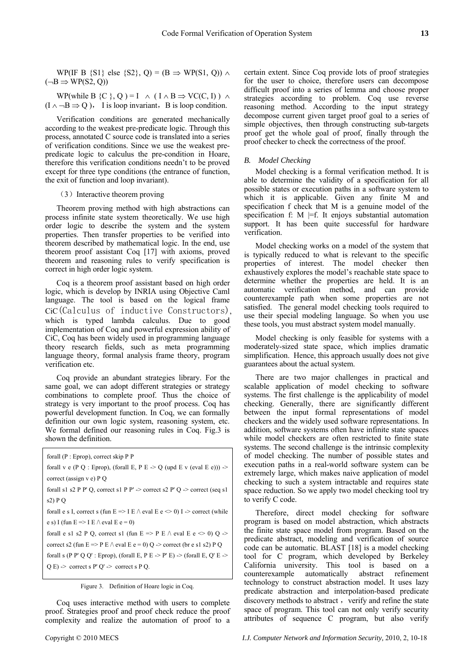WP(IF B {S1} else {S2}, Q) = (B  $\Rightarrow$  WP(S1, Q))  $\land$  $(\neg B \Rightarrow WP(S2, Q))$ 

WP(while B {C }, Q ) = I  $\wedge$  ( I  $\wedge$  B  $\Rightarrow$  VC(C, I))  $\wedge$  $(I \land \neg B \Rightarrow Q)$ , I is loop invariant, B is loop condition.

Verification conditions are generated mechanically according to the weakest pre-predicate logic. Through this process, annotated C source code is translated into a series of verification conditions. Since we use the weakest prepredicate logic to calculus the pre-condition in Hoare, therefore this verification conditions needn't to be proved except for three type conditions (the entrance of function, the exit of function and loop invariant).

# (3) Interactive theorem proving

Theorem proving method with high abstractions can process infinite state system theoretically. We use high order logic to describe the system and the system properties. Then transfer properties to be verified into theorem described by mathematical logic. In the end, use theorem proof assistant Coq [17] with axioms, proved theorem and reasoning rules to verify specification is correct in high order logic system.

Coq is a theorem proof assistant based on high order logic, which is develop by INRIA using Objective Caml language. The tool is based on the logical frame CiC(Calculus of inductive Constructors), which is typed lambda calculus. Due to good implementation of Coq and powerful expression ability of CiC, Coq has been widely used in programming language theory research fields, such as meta programming language theory, formal analysis frame theory, program verification etc.

Coq provide an abundant strategies library. For the same goal, we can adopt different strategies or strategy combinations to complete proof. Thus the choice of strategy is very important to the proof process. Coq has powerful development function. In Coq, we can formally definition our own logic system, reasoning system, etc. We formal defined our reasoning rules in Coq. Fig.3 is shown the definition.

forall (P : Eprop), correct skip P P forall v e (P Q : Eprop), (forall E, P E  $\geq$  Q (upd E v (eval E e)))  $\geq$ correct (assign v e) P Q forall s1 s2 P P' Q, correct s1 P P'  $\rightarrow$  correct s2 P' Q  $\rightarrow$  correct (seq s1 s2) P Q forall e s I, correct s (fun  $E \Rightarrow I E \wedge \text{eval } E e \le 0$ ) I -> correct (while e s) I (fun  $E \Rightarrow I E \wedge eval E e = 0$ ) forall e s1 s2 P Q, correct s1 (fun E => P E  $\land$  eval E e  $\leq$  0) Q -> correct s2 (fun  $E \Rightarrow P E \wedge \text{eval } E e = 0$ ) Q -> correct (br e s1 s2) P Q forall s (P P' Q Q' : Eprop), (forall E, P E  $>$  P' E)  $>$  (forall E, Q' E  $>$  $Q E$ ) -> correct s P'  $Q'$  -> correct s P  $Q$ .

Figure 3. Definition of Hoare logic in Coq.

Coq uses interactive method with users to complete proof. Strategies proof and proof check reduce the proof complexity and realize the automation of proof to a California university. This tool is based on a counterexample automatically abstract refinement technology to construct abstraction model. It uses lazy predicate abstraction and interpolation-based predicate discovery methods to abstract, verify and refine the state space of program. This tool can not only verify security attributes of sequence C program, but also verify

Therefore, direct model checking for software program is based on model abstraction, which abstracts the finite state space model from program. Based on the predicate abstract, modeling and verification of source code can be automatic. BLAST [18] is a model checking

certain extent. Since Coq provide lots of proof strategies for the user to choice, therefore users can decompose difficult proof into a series of lemma and choose proper strategies according to problem. Coq use reverse reasoning method. According to the input strategy decompose current given target proof goal to a series of simple objectives, then through constructing sub-targets proof get the whole goal of proof, finally through the proof checker to check the correctness of the proof.

## *B. Model Checking*

Model checking is a formal verification method. It is able to determine the validity of a specification for all possible states or execution paths in a software system to which it is applicable. Given any finite M and specification f check that M is a genuine model of the specification f:  $M \models$ f. It enjoys substantial automation support. It has been quite successful for hardware verification.

Model checking works on a model of the system that is typically reduced to what is relevant to the specific properties of interest. The model checker then exhaustively explores the model's reachable state space to determine whether the properties are held. It is an automatic verification method, and can provide counterexample path when some properties are not satisfied. The general model checking tools required to use their special modeling language. So when you use these tools, you must abstract system model manually.

Model checking is only feasible for systems with a moderately-sized state space, which implies dramatic simplification. Hence, this approach usually does not give guarantees about the actual system.

There are two major challenges in practical and scalable application of model checking to software systems. The first challenge is the applicability of model checking. Generally, there are significantly different between the input formal representations of model checkers and the widely used software representations. In addition, software systems often have infinite state spaces while model checkers are often restricted to finite state systems. The second challenge is the intrinsic complexity of model checking. The number of possible states and execution paths in a real-world software system can be extremely large, which makes naive application of model checking to such a system intractable and requires state space reduction. So we apply two model checking tool try to verify C code.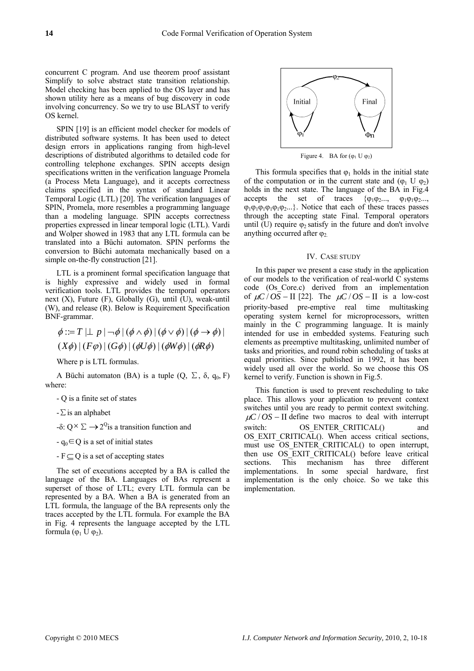concurrent C program. And use theorem proof assistant Simplify to solve abstract state transition relationship. Model checking has been applied to the OS layer and has shown utility here as a means of bug discovery in code involving concurrency. So we try to use BLAST to verify OS kernel.

SPIN [19] is an efficient model checker for models of distributed software systems. It has been used to detect design errors in applications ranging from high-level descriptions of distributed algorithms to detailed code for controlling telephone exchanges. SPIN accepts design specifications written in the verification language Promela (a Process Meta Language), and it accepts correctness claims specified in the syntax of standard Linear Temporal Logic (LTL) [20]. The verification languages of SPIN, Promela, more resembles a programming language than a modeling language. SPIN accepts correctness properties expressed in linear temporal logic (LTL). Vardi and Wolper showed in 1983 that any LTL formula can be translated into a Büchi automaton. SPIN performs the conversion to Büchi automata mechanically based on a simple on-the-fly construction [21].

LTL is a prominent formal specification language that is highly expressive and widely used in formal verification tools. LTL provides the temporal operators next  $(X)$ , Future  $(F)$ , Globally  $(G)$ , until  $(U)$ , weak-until (W), and release (R). Below is Requirement Specification BNF-grammar.

$$
\phi ::= T \mid\perp p \mid \neg \phi \mid (\phi \land \phi) \mid (\phi \lor \phi) \mid (\phi \to \phi) \mid
$$
  

$$
(X\phi) \mid (F\phi) \mid (G\phi) \mid (\phi U\phi) \mid (\phi W\phi) \mid (\phi R\phi)
$$

Where p is LTL formulas.

A Büchi automaton (BA) is a tuple  $(Q, \Sigma, \delta, q_0, F)$ where:

- Q is a finite set of states
- $-\Sigma$  is an alphabet
- $-$ δ:  $O^{\times} \Sigma \rightarrow 2^{\circ}$  is a transition function and
- $-q_0 \in Q$  is a set of initial states
- $-F \subset Q$  is a set of accepting states

The set of executions accepted by a BA is called the language of the BA. Languages of BAs represent a superset of those of LTL; every LTL formula can be represented by a BA. When a BA is generated from an LTL formula, the language of the BA represents only the traces accepted by the LTL formula. For example the BA in Fig. 4 represents the language accepted by the LTL formula  $(\varphi_1 \cup \varphi_2)$ .



Figure 4. BA for  $(\varphi_1 \cup \varphi_2)$ 

This formula specifies that  $\varphi_1$  holds in the initial state of the computation or in the current state and  $(\varphi_1 \cup \varphi_2)$ holds in the next state. The language of the BA in Fig.4 accepts the set of traces  $\{\varphi_1\varphi_2...\varphi_1\varphi_1\varphi_2...\varphi_n\}$  $\varphi_1\varphi_1\varphi_1\varphi_1\varphi_2...\}$ . Notice that each of these traces passes through the accepting state Final. Temporal operators until (U) require  $\varphi_2$  satisfy in the future and don't involve anything occurred after  $\varphi$ .

#### IV. CASE STUDY

In this paper we present a case study in the application of our models to the verification of real-world C systems code (Os\_Core.c) derived from an implementation of  $\mu$ C / *OS* − II [22]. The  $\mu$ C / *OS* − II is a low-cost priority-based pre-emptive real time multitasking operating system kernel for microprocessors, written mainly in the C programming language. It is mainly intended for use in embedded systems. Featuring such elements as preemptive multitasking, unlimited number of tasks and priorities, and round robin scheduling of tasks at equal priorities. Since published in 1992, it has been widely used all over the world. So we choose this OS kernel to verify. Function is shown in Fig.5.

This function is used to prevent rescheduling to take place. This allows your application to prevent context switches until you are ready to permit context switching.  $\mu$ C / *OS* − II define two macros to deal with interrupt switch: OS\_ENTER\_CRITICAL() and OS EXIT CRITICAL(). When access critical sections, must use OS ENTER CRITICAL() to open interrupt, then use OS EXIT CRITICAL() before leave critical sections. This mechanism has three different implementations. In some special hardware, first implementation is the only choice. So we take this implementation.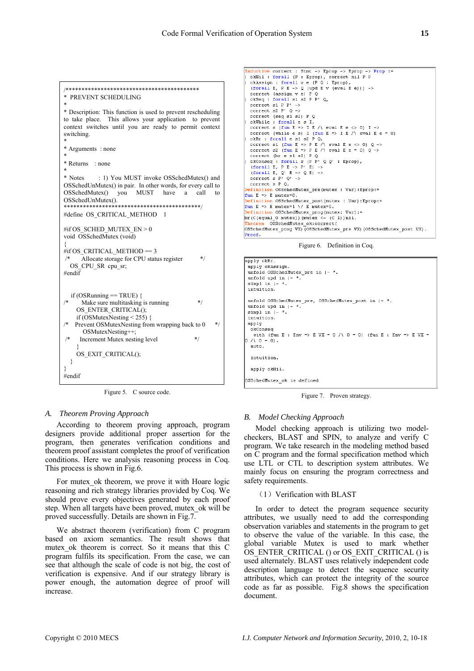```
/****************************************** 
* PREVENT SCHEDULING 
* 
* Description: This function is used to prevent rescheduling 
to take place. This allows your application to prevent 
context switches until you are ready to permit context 
switching. 
* 
* Arguments : none 
* 
* Returns : none 
* 
* Notes : 1) You MUST invoke OSSchedMutex() and 
OSSchedUnMutex() in pair. In other words, for every call to 
OSSchedMutex() you MUST have a call to 
OSSchedUnMutes()*******************************************/ 
#define OS_CRITICAL_METHOD 1 
#if OS_SCHED_MUTEX_EN > 0void OSSchedMutex (void) 
{ 
#if OS CRITICAL METHOD == 3
     Allocate storage for CPU status register */
  OS_CPU_SR cpu_sr;
#endi\overline{f}if (OSRunning == TRUE) {
     Make sure multitasking is running */
     OS_ENTER_CRITICAL(); 
    if (\overline{\text{OSM}}utexNesting < 255) {
   Prevent OSMutexNesting from wrapping back to 0 */
       OSMutexNesting++; 
     Increment Mutex nesting level */
\rightarrow OS_EXIT_CRITICAL(); 
   } 
} 
#endif
```
Figure 5. C source code.

## *A. Theorem Proving Approach*

According to theorem proving approach, program designers provide additional proper assertion for the program, then generates verification conditions and theorem proof assistant completes the proof of verification conditions. Here we analysis reasoning process in Coq. This process is shown in Fig.6.

For mutex ok theorem, we prove it with Hoare logic reasoning and rich strategy libraries provided by Coq. We should prove every objectives generated by each proof step. When all targets have been proved, mutex\_ok will be proved successfully. Details are shown in Fig.7.

We abstract theorem (verification) from C program based on axiom semantics. The result shows that mutex ok theorem is correct. So it means that this C program fulfils its specification. From the case, we can see that although the scale of code is not big, the cost of verification is expensive. And if our strategy library is power enough, the automation degree of proof will increase.

```
nductive correct : Stmt -> Eprop -> Eprop -><br>okNil : forall (P : Eprop), correct nil P P<br>okkssign : forall v e (P Q : Eprop),<br>(forall E, P E -> Q (upd E v (eval E e))) ->
                                                                                  \rightarrow Prop :=correct (assign v e) PQ<br>okseq : forall s1 s2 P P'Q,
   \begin{array}{c} \text{correct} & 1 & \text{correct} \\ \text{correct} & 1 & \text{P} & \text{P'} \\ \text{correct} & 2 & \text{P'} & \text{Q} \end{array} \rightarrowcorrect (seq s1 s2) P QokWhile: forall es I.
    correct s (fun E => I E /\ eval E e <> 0) I ->
    correct (while e s) I (fun E => I E /\ eval E e = 0)
   COLLECT (while E S I (1 Unit E - 2 I E / ) EVAL E E<br>
CONET : forall e SI S2 P Q,<br>
correct s1 (fun E => P E / ) eval E e <> 0) Q -><br>
correct s2 (fun E => P E / ) eval E e = 0) Q ->
   correct (br e si s2) P Q<br>okConseq : forall s (P P' Q Q' : Eprop),<br>(forall E, P E -> P' E) -><br>(forall E, Q' E -> Q E) ->
   correct s P'Q' \rightarrow<br>correct s PQ.
   efinition OSSchedMutex_pre(mutex : Var):Eprop:=
fun E => E mutex=0.
 Definition OSSchedMutex_post(mutex : Var):Eprop:=
fun E => E mutex=1 \/ E mutex=0.
 Definition OSSchedMutex_prog(mutex: Var):=
br(C(equal 0 mutex))(mutex <- (C 1))nil.
              OSSchedMutex ok:correct(
neorim osseneanaeck_okiesfiese\<br>OSSchedMutex_prog VX){OSSchedMutex_pre VX){OSSchedMutex_post VX).
Proof.
```
Figure 6. Definition in Coq.



Figure 7. Proven strategy.

## *B. Model Checking Approach*

Model checking approach is utilizing two modelcheckers, BLAST and SPIN, to analyze and verify C program. We take research in the modeling method based on C program and the formal specification method which use LTL or CTL to description system attributes. We mainly focus on ensuring the program correctness and safety requirements.

#### $(1)$  Verification with BLAST

In order to detect the program sequence security attributes, we usually need to add the corresponding observation variables and statements in the program to get to observe the value of the variable. In this case, the global variable Mutex is used to mark whether OS\_ENTER\_CRITICAL () or OS\_EXIT\_CRITICAL () is used alternately. BLAST uses relatively independent code description language to detect the sequence security attributes, which can protect the integrity of the source code as far as possible. Fig.8 shows the specification document.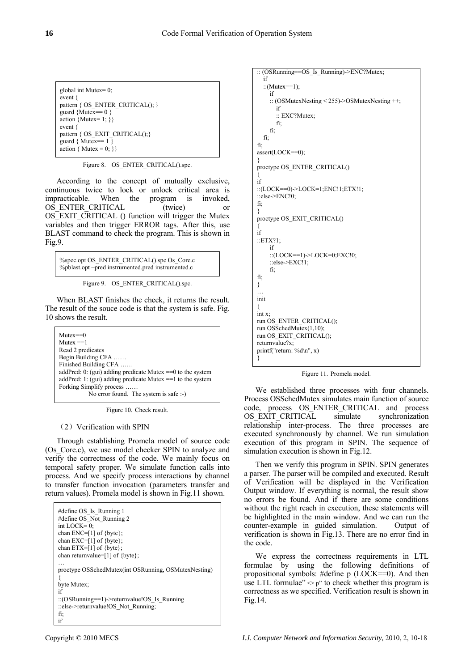```
global int Mutex= 0; 
event { 
pattern { OS_ENTER_CRITICAL(); }
guard {Mutex== 0}
action {Mutex=1:}event { 
pattern { OS_EXIT_CRITICAL(); }
guard \{ Mutex== 1\}action { Mutex = 0; } }
```
Figure 8. OS\_ENTER\_CRITICAL().spc.

According to the concept of mutually exclusive, continuous twice to lock or unlock critical area is impracticable. When the program is invoked, OS ENTER CRITICAL (twice) or OS EXIT CRITICAL () function will trigger the Mutex variables and then trigger ERROR tags. After this, use BLAST command to check the program. This is shown in Fig.9.

%spec.opt OS\_ENTER\_CRITICAL().spc Os\_Core.c %pblast.opt –pred instrumented.pred instrumented.c

Figure 9. OS\_ENTER\_CRITICAL().spc.

When BLAST finishes the check, it returns the result. The result of the souce code is that the system is safe. Fig. 10 shows the result.

Mutex==0  $Mutes == 1$ Read 2 predicates Begin Building CFA …… Finished Building CFA …… addPred: 0: (gui) adding predicate Mutex ==0 to the system addPred: 1: (gui) adding predicate Mutex ==1 to the system Forking Simplify process …… No error found. The system is safe :-)

Figure 10. Check result.

## (2) Verification with SPIN

Through establishing Promela model of source code (Os\_Core.c), we use model checker SPIN to analyze and verify the correctness of the code. We mainly focus on temporal safety proper. We simulate function calls into process. And we specify process interactions by channel to transfer function invocation (parameters transfer and return values). Promela model is shown in Fig.11 shown.

```
#define OS_Is_Running 1 
#define OS_Not_Running 2 
int LOCK=0:
chan ENC=[1] of {byte}; 
chan EXC=[1] of {byte}; 
chan ETX=[1] of {byte}; 
chan returnvalue=[1] of {byte}; 
… 
proctype OSSchedMutex(int OSRunning, OSMutexNesting) 
{ 
byte Mutex; 
if 
::(OSRunning==1)->returnvalue!OS_Is_Running
::else->returnvalue!OS_Not_Running;
fi; 
if
```

```
:: (OSRunning==OS_Is_Running)->ENC?Mutex; 
   if 
  ::(Mutex==1);
     if 
     :: (OSMutexNesting < 255)->OSMutexNesting ++; 
        if 
        :: EXC?Mutex; 
        fi; 
     fi; 
   fi; 
fi; 
assert(LOCK==0); 
} 
proctype OS_ENTER_CRITICAL() 
{ 
if 
::(LOCK==0)->LOCK=1;ENC!1;ETX!1; 
::else->ENC!0; 
fi; 
} 
proctype OS_EXIT_CRITICAL() 
{ 
if 
::ETX?1; 
     if 
     ::(LOCK==1)->LOCK=0;EXC!0; 
     ::else->EXC!1; 
     fi; 
fi; 
} 
… 
init 
{ 
int x; 
run OS_ENTER_CRITICAL(); 
run OSSchedMutex(1,10); 
run OS_EXIT_CRITICAL(); 
returnvalue?x; 
printf("return: %d\n", x) 
}
```
Figure 11. Promela model.

We established three processes with four channels. Process OSSchedMutex simulates main function of source code, process OS\_ENTER\_CRITICAL and process OS EXIT CRITICAL simulate synchronization relationship inter-process. The three processes are executed synchronously by channel. We run simulation execution of this program in SPIN. The sequence of simulation execution is shown in Fig.12.

Then we verify this program in SPIN. SPIN generates a parser. The parser will be compiled and executed. Result of Verification will be displayed in the Verification Output window. If everything is normal, the result show no errors be found. And if there are some conditions without the right reach in execution, these statements will be highlighted in the main window. And we can run the counter-example in guided simulation. Output of verification is shown in Fig.13. There are no error find in the code.

We express the correctness requirements in LTL formulae by using the following definitions of propositional symbols: #define p (LOCK==0). And then use LTL formulae" $\sim$  p" to check whether this program is correctness as we specified. Verification result is shown in Fig.14.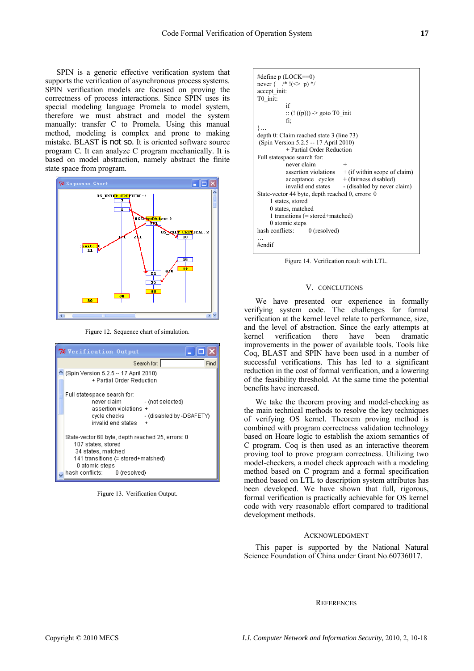SPIN is a generic effective verification system that supports the verification of asynchronous process systems. SPIN verification models are focused on proving the correctness of process interactions. Since SPIN uses its special modeling language Promela to model system, therefore we must abstract and model the system manually: transfer C to Promela. Using this manual method, modeling is complex and prone to making mistake. BLAST is not so. It is oriented software source program C. It can analyze C program mechanically. It is based on model abstraction, namely abstract the finite state space from program.



Figure 12. Sequence chart of simulation.

| <b>76 Verification Output</b> |                                                                                                                                                                                               |
|-------------------------------|-----------------------------------------------------------------------------------------------------------------------------------------------------------------------------------------------|
|                               | Search for:<br>Fing                                                                                                                                                                           |
|                               | (Spin Version 5.2.5 -- 17 April 2010)<br>+ Partial Order Reduction                                                                                                                            |
|                               | Full statespace search for:<br>never claim<br>- (not selected)<br>assertion violations +<br>- (disabled by -DSAFETY)<br>cycle checks.<br>invalid end states<br>$\ddot{}$                      |
|                               | State-vector 60 byte, depth reached 25, errors: 0<br>107 states, stored<br>34 states, matched<br>141 transitions (= stored+matched)<br>0 atomic steps<br>hash conflicts:         0 (resolved) |

Figure 13. Verification Output.

```
#define p (LOCK==0) 
never { /* !(\heartsuit p) */
accept init:
T0_init: 
 if 
              :: (! ((p))) -> goto T0_init 
             fi; 
}… 
depth 0: Claim reached state 3 (line 73) 
 (Spin Version 5.2.5 -- 17 April 2010) 
             + Partial Order Reduction 
Full statespace search for: 
             never claim + 
            assertion violations + (if within scope of claim)<br>acceptance cycles + (fairness disabled)
                                     +(fairness disabled)
            invalid end states - (disabled by never claim)
State-vector 44 byte, depth reached 0, errors: 0 
      1 states, stored 
      0 states, matched 
      1 transitions (= stored+matched) 
     0 atomic steps<br>conflicts: 0 (resolved)
hash conflicts:
… 
#endif
```
Figure 14. Verification result with LTL.

#### V. CONCLUTIONS

We have presented our experience in formally verifying system code. The challenges for formal verification at the kernel level relate to performance, size, and the level of abstraction. Since the early attempts at kernel verification there have been dramatic improvements in the power of available tools. Tools like Coq, BLAST and SPIN have been used in a number of successful verifications. This has led to a significant reduction in the cost of formal verification, and a lowering of the feasibility threshold. At the same time the potential benefits have increased.

We take the theorem proving and model-checking as the main technical methods to resolve the key techniques of verifying OS kernel. Theorem proving method is combined with program correctness validation technology based on Hoare logic to establish the axiom semantics of C program. Coq is then used as an interactive theorem proving tool to prove program correctness. Utilizing two model-checkers, a model check approach with a modeling method based on C program and a formal specification method based on LTL to description system attributes has been developed. We have shown that full, rigorous, formal verification is practically achievable for OS kernel code with very reasonable effort compared to traditional development methods.

## ACKNOWLEDGMENT

This paper is supported by the National Natural Science Foundation of China under Grant No.60736017.

#### **REFERENCES**